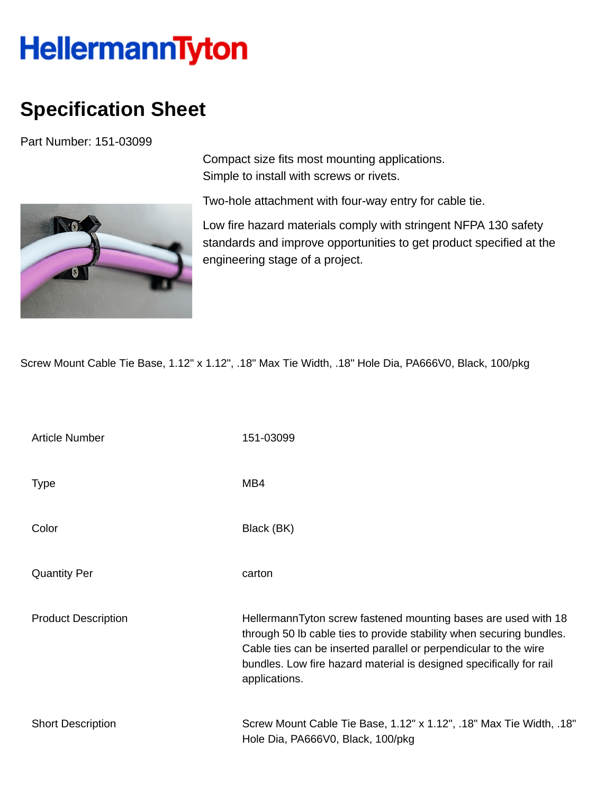## **HellermannTyton**

## **Specification Sheet**

Part Number: 151-03099



Compact size fits most mounting applications. Simple to install with screws or rivets.

Two-hole attachment with four-way entry for cable tie.

Low fire hazard materials comply with stringent NFPA 130 safety standards and improve opportunities to get product specified at the engineering stage of a project.

Screw Mount Cable Tie Base, 1.12" x 1.12", .18" Max Tie Width, .18" Hole Dia, PA666V0, Black, 100/pkg

| <b>Article Number</b>      | 151-03099                                                                                                                                                                                                                                                                                          |
|----------------------------|----------------------------------------------------------------------------------------------------------------------------------------------------------------------------------------------------------------------------------------------------------------------------------------------------|
| <b>Type</b>                | MB4                                                                                                                                                                                                                                                                                                |
| Color                      | Black (BK)                                                                                                                                                                                                                                                                                         |
| <b>Quantity Per</b>        | carton                                                                                                                                                                                                                                                                                             |
| <b>Product Description</b> | HellermannTyton screw fastened mounting bases are used with 18<br>through 50 lb cable ties to provide stability when securing bundles.<br>Cable ties can be inserted parallel or perpendicular to the wire<br>bundles. Low fire hazard material is designed specifically for rail<br>applications. |
| <b>Short Description</b>   | Screw Mount Cable Tie Base, 1.12" x 1.12", .18" Max Tie Width, .18"<br>Hole Dia, PA666V0, Black, 100/pkg                                                                                                                                                                                           |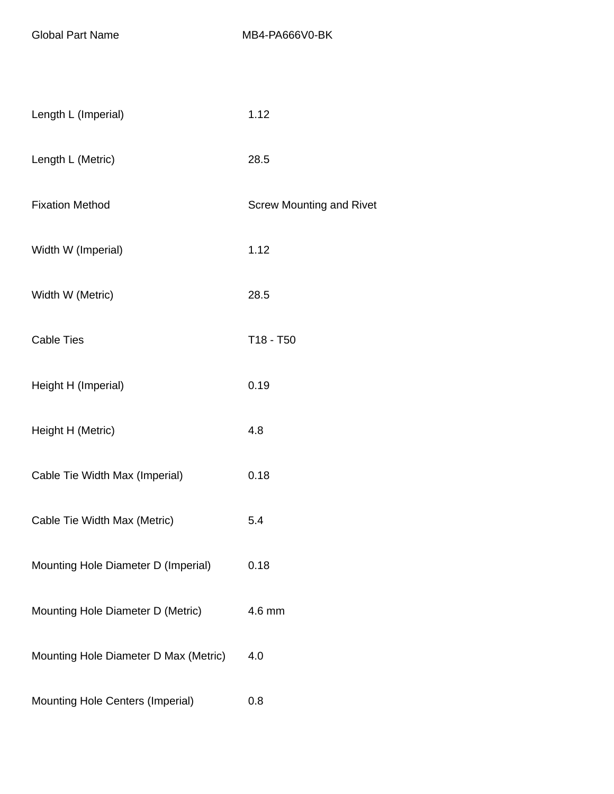| Length L (Imperial)                   | 1.12                            |
|---------------------------------------|---------------------------------|
| Length L (Metric)                     | 28.5                            |
| <b>Fixation Method</b>                | <b>Screw Mounting and Rivet</b> |
| Width W (Imperial)                    | 1.12                            |
| Width W (Metric)                      | 28.5                            |
| <b>Cable Ties</b>                     | T18 - T50                       |
| Height H (Imperial)                   | 0.19                            |
| Height H (Metric)                     | 4.8                             |
| Cable Tie Width Max (Imperial)        | 0.18                            |
| Cable Tie Width Max (Metric)          | 5.4                             |
| Mounting Hole Diameter D (Imperial)   | 0.18                            |
| Mounting Hole Diameter D (Metric)     | 4.6 mm                          |
| Mounting Hole Diameter D Max (Metric) | 4.0                             |
| Mounting Hole Centers (Imperial)      | 0.8                             |